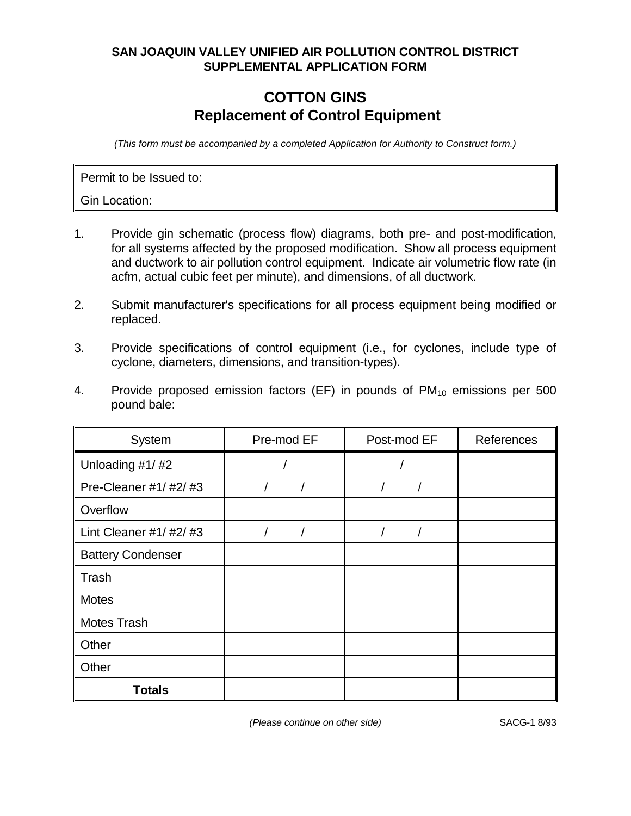## **SAN JOAQUIN VALLEY UNIFIED AIR POLLUTION CONTROL DISTRICT SUPPLEMENTAL APPLICATION FORM**

## **COTTON GINS Replacement of Control Equipment**

(This form must be accompanied by a completed Application for Authority to Construct form.)

Permit to be Issued to:

Gin Location:

- 1. Provide gin schematic (process flow) diagrams, both pre- and post-modification, for all systems affected by the proposed modification. Show all process equipment and ductwork to air pollution control equipment. Indicate air volumetric flow rate (in acfm, actual cubic feet per minute), and dimensions, of all ductwork.
- 2. Submit manufacturer's specifications for all process equipment being modified or replaced.
- 3. Provide specifications of control equipment (i.e., for cyclones, include type of cyclone, diameters, dimensions, and transition-types).
- 4. Provide proposed emission factors (EF) in pounds of  $PM_{10}$  emissions per 500 pound bale:

| System                   | Pre-mod EF<br>Post-mod EF |  | References |
|--------------------------|---------------------------|--|------------|
| Unloading #1/#2          |                           |  |            |
| Pre-Cleaner #1/ #2/ #3   |                           |  |            |
| Overflow                 |                           |  |            |
| Lint Cleaner #1/ $#2/#3$ |                           |  |            |
| <b>Battery Condenser</b> |                           |  |            |
| Trash                    |                           |  |            |
| <b>Motes</b>             |                           |  |            |
| <b>Motes Trash</b>       |                           |  |            |
| Other                    |                           |  |            |
| Other                    |                           |  |            |
| <b>Totals</b>            |                           |  |            |

(Please continue on other side) SACG-1 8/93